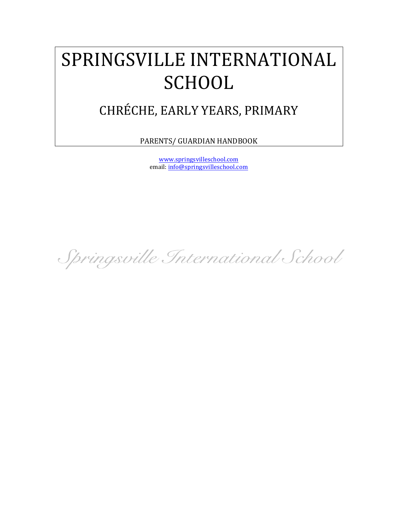# SPRINGSVILLE INTERNATIONAL **SCHOOL**

## CHRÉCHE, EARLY YEARS, PRIMARY

PARENTS/ GUARDIAN HANDBOOK

www.springsvilleschool.com email: info@springsvilleschool.com

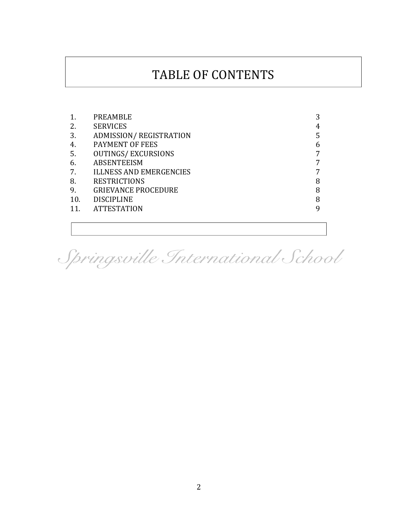### TABLE OF CONTENTS

|     | PREAMBLE                       | 3 |
|-----|--------------------------------|---|
| 2.  | <b>SERVICES</b>                | 4 |
| 3.  | ADMISSION/REGISTRATION         | 5 |
| 4.  | PAYMENT OF FEES                | 6 |
| 5.  | <b>OUTINGS/EXCURSIONS</b>      | 7 |
| 6.  | <b>ABSENTEEISM</b>             | 7 |
| 7.  | <b>ILLNESS AND EMERGENCIES</b> | 7 |
| 8.  | <b>RESTRICTIONS</b>            | 8 |
| 9.  | <b>GRIEVANCE PROCEDURE</b>     | 8 |
| 10. | <b>DISCIPLINE</b>              | 8 |
| 11. | <b>ATTESTATION</b>             | 9 |
|     |                                |   |

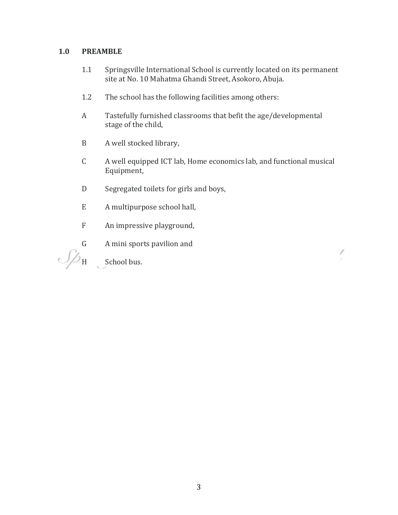#### **1.0 PREAMBLE**

- 1.1 Springsville International School is currently located on its permanent site at No. 10 Mahatma Ghandi Street, Asokoro, Abuja.
- 1.2 The school has the following facilities among others:
- A Tastefully furnished classrooms that befit the age/developmental stage of the child,
- B A well stocked library,
- C A well equipped ICT lab, Home economics lab, and functional musical Equipment,

 $\overline{\phantom{a}}$ 

- D Segregated toilets for girls and boys,
- E A multipurpose school hall,
- F An impressive playground,
- G A mini sports pavilion and

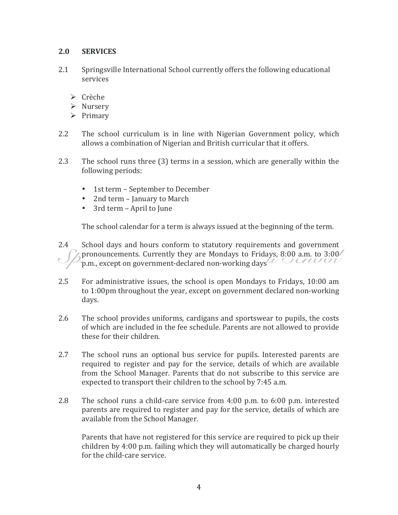#### **2.0 SERVICES**

- 2.1 Springsville International School currently offers the following educational services
	- $\triangleright$  Crèche
	- $\triangleright$  Nursery
	- $\triangleright$  Primary
- 2.2 The school curriculum is in line with Nigerian Government policy, which allows a combination of Nigerian and British curricular that it offers.
- 2.3 The school runs three (3) terms in a session, which are generally within the following periods:
	- 1st term September to December
	- 2nd term January to March
	- 3rd term April to June

The school calendar for a term is always issued at the beginning of the term.

- 2.4 School days and hours conform to statutory requirements and government pronouncements. Currently they are Mondays to Fridays, 8:00 a.m. to  $3:00$  $\mathbb{F}_p$ .m., except on government-declared non-working days  $\mathbb{Z}$
- 2.5 For administrative issues, the school is open Mondays to Fridays, 10:00 am to 1:00pm throughout the year, except on government declared non-working days.
- 2.6 The school provides uniforms, cardigans and sportswear to pupils, the costs of which are included in the fee schedule. Parents are not allowed to provide these for their children.
- 2.7 The school runs an optional bus service for pupils. Interested parents are required to register and pay for the service, details of which are available from the School Manager. Parents that do not subscribe to this service are expected to transport their children to the school by 7:45 a.m.
- 2.8 The school runs a child-care service from  $4:00$  p.m. to  $6:00$  p.m. interested parents are required to register and pay for the service, details of which are available from the School Manager.

Parents that have not registered for this service are required to pick up their children by  $4:00$  p.m. failing which they will automatically be charged hourly for the child-care service.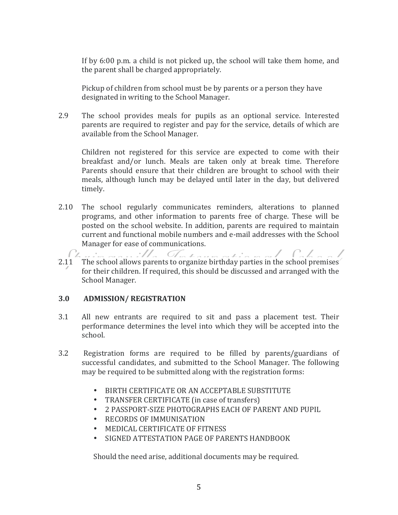If by  $6:00$  p.m. a child is not picked up, the school will take them home, and the parent shall be charged appropriately.

Pickup of children from school must be by parents or a person they have designated in writing to the School Manager.

2.9 The school provides meals for pupils as an optional service. Interested parents are required to register and pay for the service, details of which are available from the School Manager.

Children not registered for this service are expected to come with their breakfast and/or lunch. Meals are taken only at break time. Therefore Parents should ensure that their children are brought to school with their meals, although lunch may be delayed until later in the day, but delivered timely.

- 2.10 The school regularly communicates reminders, alterations to planned programs, and other information to parents free of charge. These will be posted on the school website. In addition, parents are required to maintain current and functional mobile numbers and e-mail addresses with the School Manager for ease of communications.
- $C_{\mathcal{L}}$ marilla Technologia e de Cabant 2.11 The school allows parents to organize birthday parties in the school premises for their children. If required, this should be discussed and arranged with the School Manager.

#### **3.0 ADMISSION/ REGISTRATION**

- 3.1 All new entrants are required to sit and pass a placement test. Their performance determines the level into which they will be accepted into the school.
- 3.2 Registration forms are required to be filled by parents/guardians of successful candidates, and submitted to the School Manager. The following may be required to be submitted along with the registration forms:
	- BIRTH CERTIFICATE OR AN ACCEPTABLE SUBSTITUTE
	- TRANSFER CERTIFICATE (in case of transfers)
	- 2 PASSPORT-SIZE PHOTOGRAPHS EACH OF PARENT AND PUPIL
	- RECORDS OF IMMUNISATION
	- MEDICAL CERTIFICATE OF FITNESS
	- SIGNED ATTESTATION PAGE OF PARENTS HANDBOOK

Should the need arise, additional documents may be required.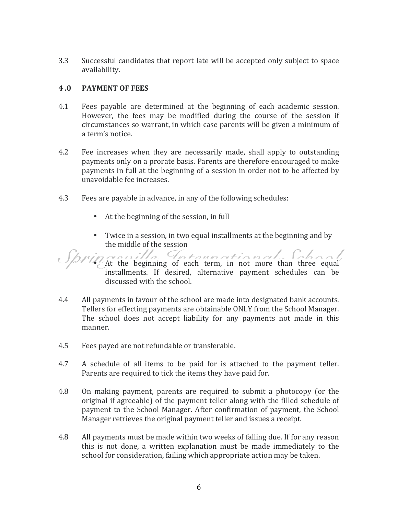3.3 Successful candidates that report late will be accepted only subject to space availability.

#### **4 .0 PAYMENT OF FEES**

- 4.1 Fees payable are determined at the beginning of each academic session. However, the fees may be modified during the course of the session if circumstances so warrant, in which case parents will be given a minimum of a term's notice.
- 4.2 Fee increases when they are necessarily made, shall apply to outstanding payments only on a prorate basis. Parents are therefore encouraged to make payments in full at the beginning of a session in order not to be affected by unavoidable fee increases.
- 4.3 Fees are payable in advance, in any of the following schedules:
	- At the beginning of the session, in full
	- Twice in a session, in two equal installments at the beginning and by the middle of the session

 $\mathcal{S}$ /  $\mathcal{S}$ /  $\mathcal{S}$  the beginning of each term, in not more than three equal installments. If desired, alternative payment schedules can be discussed with the school.

- 4.4 All payments in favour of the school are made into designated bank accounts. Tellers for effecting payments are obtainable ONLY from the School Manager. The school does not accept liability for any payments not made in this manner.
- 4.5 Fees payed are not refundable or transferable.
- 4.7 A schedule of all items to be paid for is attached to the payment teller. Parents are required to tick the items they have paid for.
- 4.8 On making payment, parents are required to submit a photocopy (or the original if agreeable) of the payment teller along with the filled schedule of payment to the School Manager. After confirmation of payment, the School Manager retrieves the original payment teller and issues a receipt.
- 4.8 All payments must be made within two weeks of falling due. If for any reason this is not done, a written explanation must be made immediately to the school for consideration, failing which appropriate action may be taken.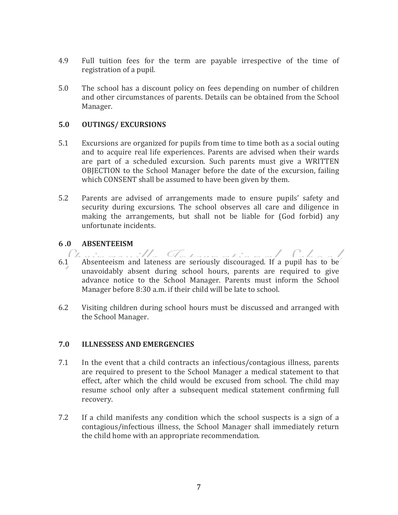- 4.9 Full tuition fees for the term are payable irrespective of the time of registration of a pupil.
- 5.0 The school has a discount policy on fees depending on number of children and other circumstances of parents. Details can be obtained from the School Manager.

#### **5.0 OUTINGS/ EXCURSIONS**

- 5.1 Excursions are organized for pupils from time to time both as a social outing and to acquire real life experiences. Parents are advised when their wards are part of a scheduled excursion. Such parents must give a WRITTEN OBJECTION to the School Manager before the date of the excursion, failing which CONSENT shall be assumed to have been given by them.
- 5.2 Parents are advised of arrangements made to ensure pupils' safety and security during excursions. The school observes all care and diligence in making the arrangements, but shall not be liable for (God forbid) any unfortunate incidents.

#### **6 .0 ABSENTEEISM**

- $6.1$  Absenteeism and lateness are seriously discouraged. If a pupil has to be  $C_{\mathbb{Z}}$ unavoidably absent during school hours, parents are required to give advance notice to the School Manager. Parents must inform the School Manager before 8:30 a.m. if their child will be late to school.
- 6.2 Visiting children during school hours must be discussed and arranged with the School Manager.

#### **7.0 ILLNESSESS AND EMERGENCIES**

- 7.1 In the event that a child contracts an infectious/contagious illness, parents are required to present to the School Manager a medical statement to that effect, after which the child would be excused from school. The child may resume school only after a subsequent medical statement confirming full recovery.
- 7.2 If a child manifests any condition which the school suspects is a sign of a contagious/infectious illness, the School Manager shall immediately return the child home with an appropriate recommendation.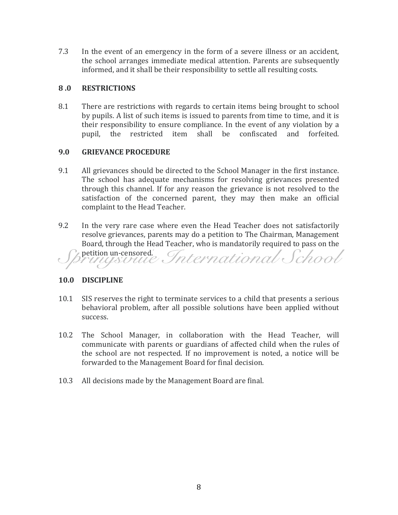7.3 In the event of an emergency in the form of a severe illness or an accident, the school arranges immediate medical attention. Parents are subsequently informed, and it shall be their responsibility to settle all resulting costs.

#### **8 .0 RESTRICTIONS**

8.1 There are restrictions with regards to certain items being brought to school by pupils. A list of such items is issued to parents from time to time, and it is their responsibility to ensure compliance. In the event of any violation by a pupil, the restricted item shall be confiscated and forfeited.

#### **9.0 GRIEVANCE PROCEDURE**

- 9.1 All grievances should be directed to the School Manager in the first instance. The school has adequate mechanisms for resolving grievances presented through this channel. If for any reason the grievance is not resolved to the satisfaction of the concerned parent, they may then make an official complaint to the Head Teacher.
- 9.2 In the very rare case where even the Head Teacher does not satisfactorily resolve grievances, parents may do a petition to The Chairman, Management Board, through the Head Teacher, who is mandatorily required to pass on the petition un-censored.<br>Principsionide International School

#### **10.0 DISCIPLINE**

- 10.1 SIS reserves the right to terminate services to a child that presents a serious behavioral problem, after all possible solutions have been applied without success.
- 10.2 The School Manager, in collaboration with the Head Teacher, will communicate with parents or guardians of affected child when the rules of the school are not respected. If no improvement is noted, a notice will be forwarded to the Management Board for final decision.
- 10.3 All decisions made by the Management Board are final.